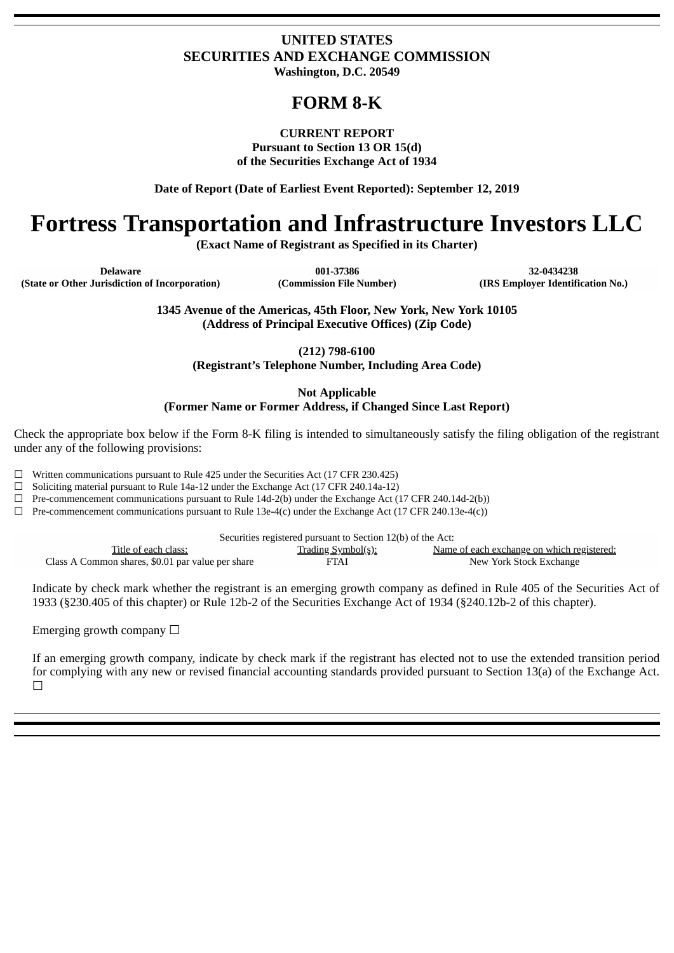### **UNITED STATES SECURITIES AND EXCHANGE COMMISSION Washington, D.C. 20549**

## **FORM 8-K**

### **CURRENT REPORT**

**Pursuant to Section 13 OR 15(d) of the Securities Exchange Act of 1934**

**Date of Report (Date of Earliest Event Reported): September 12, 2019**

# **Fortress Transportation and Infrastructure Investors LLC**

**(Exact Name of Registrant as Specified in its Charter)**

**Delaware 001-37386 32-0434238 (State or Other Jurisdiction of Incorporation) (Commission File Number) (IRS Employer Identification No.)**

**1345 Avenue of the Americas, 45th Floor, New York, New York 10105 (Address of Principal Executive Offices) (Zip Code)**

**(212) 798-6100**

**(Registrant's Telephone Number, Including Area Code)**

**Not Applicable (Former Name or Former Address, if Changed Since Last Report)**

Check the appropriate box below if the Form 8-K filing is intended to simultaneously satisfy the filing obligation of the registrant under any of the following provisions:

 $\Box$  Written communications pursuant to Rule 425 under the Securities Act (17 CFR 230.425)

☐ Soliciting material pursuant to Rule 14a-12 under the Exchange Act (17 CFR 240.14a-12)

 $\Box$  Pre-commencement communications pursuant to Rule 14d-2(b) under the Exchange Act (17 CFR 240.14d-2(b))

 $\Box$  Pre-commencement communications pursuant to Rule 13e-4(c) under the Exchange Act (17 CFR 240.13e-4(c))

Securities registered pursuant to Section 12(b) of the Act: Title of each class: Trading Symbol(s): Name of each exchange on which registered: Class A Common shares, \$0.01 par value per share FTAI FTAI New York Stock Exchange

Indicate by check mark whether the registrant is an emerging growth company as defined in Rule 405 of the Securities Act of 1933 (§230.405 of this chapter) or Rule 12b-2 of the Securities Exchange Act of 1934 (§240.12b-2 of this chapter).

Emerging growth company  $\Box$ 

If an emerging growth company, indicate by check mark if the registrant has elected not to use the extended transition period for complying with any new or revised financial accounting standards provided pursuant to Section 13(a) of the Exchange Act. ☐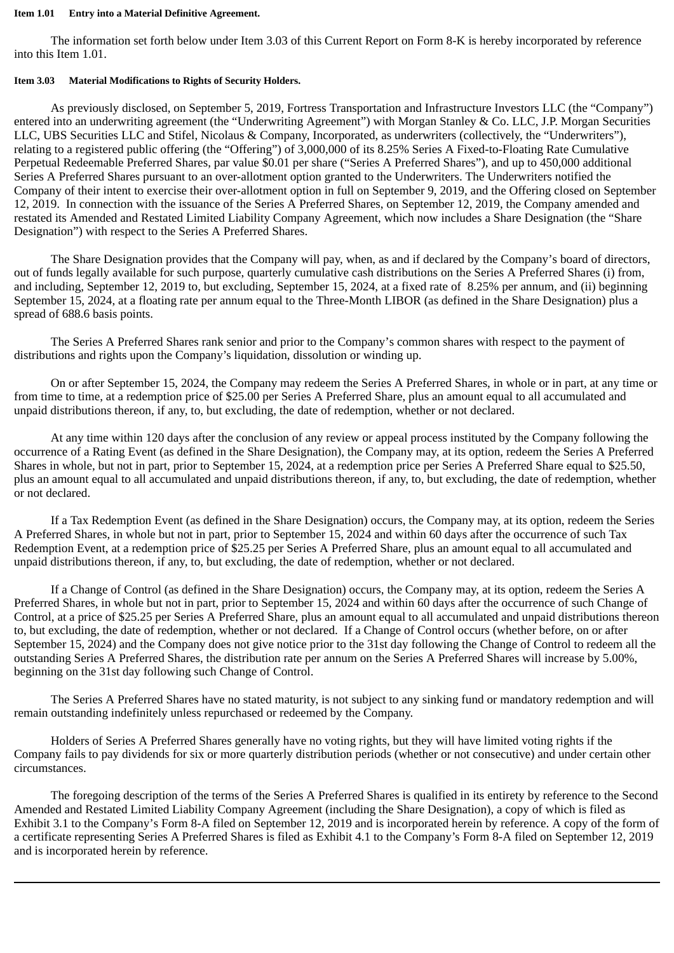#### **Item 1.01 Entry into a Material Definitive Agreement.**

The information set forth below under Item 3.03 of this Current Report on Form 8-K is hereby incorporated by reference into this Item 1.01.

### **Item 3.03 Material Modifications to Rights of Security Holders.**

As previously disclosed, on September 5, 2019, Fortress Transportation and Infrastructure Investors LLC (the "Company") entered into an underwriting agreement (the "Underwriting Agreement") with Morgan Stanley & Co. LLC, J.P. Morgan Securities LLC, UBS Securities LLC and Stifel, Nicolaus & Company, Incorporated, as underwriters (collectively, the "Underwriters"), relating to a registered public offering (the "Offering") of 3,000,000 of its 8.25% Series A Fixed-to-Floating Rate Cumulative Perpetual Redeemable Preferred Shares, par value \$0.01 per share ("Series A Preferred Shares"), and up to 450,000 additional Series A Preferred Shares pursuant to an over-allotment option granted to the Underwriters. The Underwriters notified the Company of their intent to exercise their over-allotment option in full on September 9, 2019, and the Offering closed on September 12, 2019. In connection with the issuance of the Series A Preferred Shares, on September 12, 2019, the Company amended and restated its Amended and Restated Limited Liability Company Agreement, which now includes a Share Designation (the "Share Designation") with respect to the Series A Preferred Shares.

The Share Designation provides that the Company will pay, when, as and if declared by the Company's board of directors, out of funds legally available for such purpose, quarterly cumulative cash distributions on the Series A Preferred Shares (i) from, and including, September 12, 2019 to, but excluding, September 15, 2024, at a fixed rate of 8.25% per annum, and (ii) beginning September 15, 2024, at a floating rate per annum equal to the Three-Month LIBOR (as defined in the Share Designation) plus a spread of 688.6 basis points.

The Series A Preferred Shares rank senior and prior to the Company's common shares with respect to the payment of distributions and rights upon the Company's liquidation, dissolution or winding up.

On or after September 15, 2024, the Company may redeem the Series A Preferred Shares, in whole or in part, at any time or from time to time, at a redemption price of \$25.00 per Series A Preferred Share, plus an amount equal to all accumulated and unpaid distributions thereon, if any, to, but excluding, the date of redemption, whether or not declared.

At any time within 120 days after the conclusion of any review or appeal process instituted by the Company following the occurrence of a Rating Event (as defined in the Share Designation), the Company may, at its option, redeem the Series A Preferred Shares in whole, but not in part, prior to September 15, 2024, at a redemption price per Series A Preferred Share equal to \$25.50, plus an amount equal to all accumulated and unpaid distributions thereon, if any, to, but excluding, the date of redemption, whether or not declared.

If a Tax Redemption Event (as defined in the Share Designation) occurs, the Company may, at its option, redeem the Series A Preferred Shares, in whole but not in part, prior to September 15, 2024 and within 60 days after the occurrence of such Tax Redemption Event, at a redemption price of \$25.25 per Series A Preferred Share, plus an amount equal to all accumulated and unpaid distributions thereon, if any, to, but excluding, the date of redemption, whether or not declared.

If a Change of Control (as defined in the Share Designation) occurs, the Company may, at its option, redeem the Series A Preferred Shares, in whole but not in part, prior to September 15, 2024 and within 60 days after the occurrence of such Change of Control, at a price of \$25.25 per Series A Preferred Share, plus an amount equal to all accumulated and unpaid distributions thereon to, but excluding, the date of redemption, whether or not declared. If a Change of Control occurs (whether before, on or after September 15, 2024) and the Company does not give notice prior to the 31st day following the Change of Control to redeem all the outstanding Series A Preferred Shares, the distribution rate per annum on the Series A Preferred Shares will increase by 5.00%, beginning on the 31st day following such Change of Control.

The Series A Preferred Shares have no stated maturity, is not subject to any sinking fund or mandatory redemption and will remain outstanding indefinitely unless repurchased or redeemed by the Company.

Holders of Series A Preferred Shares generally have no voting rights, but they will have limited voting rights if the Company fails to pay dividends for six or more quarterly distribution periods (whether or not consecutive) and under certain other circumstances.

The foregoing description of the terms of the Series A Preferred Shares is qualified in its entirety by reference to the Second Amended and Restated Limited Liability Company Agreement (including the Share Designation), a copy of which is filed as Exhibit 3.1 to the Company's Form 8-A filed on September 12, 2019 and is incorporated herein by reference. A copy of the form of a certificate representing Series A Preferred Shares is filed as Exhibit 4.1 to the Company's Form 8-A filed on September 12, 2019 and is incorporated herein by reference.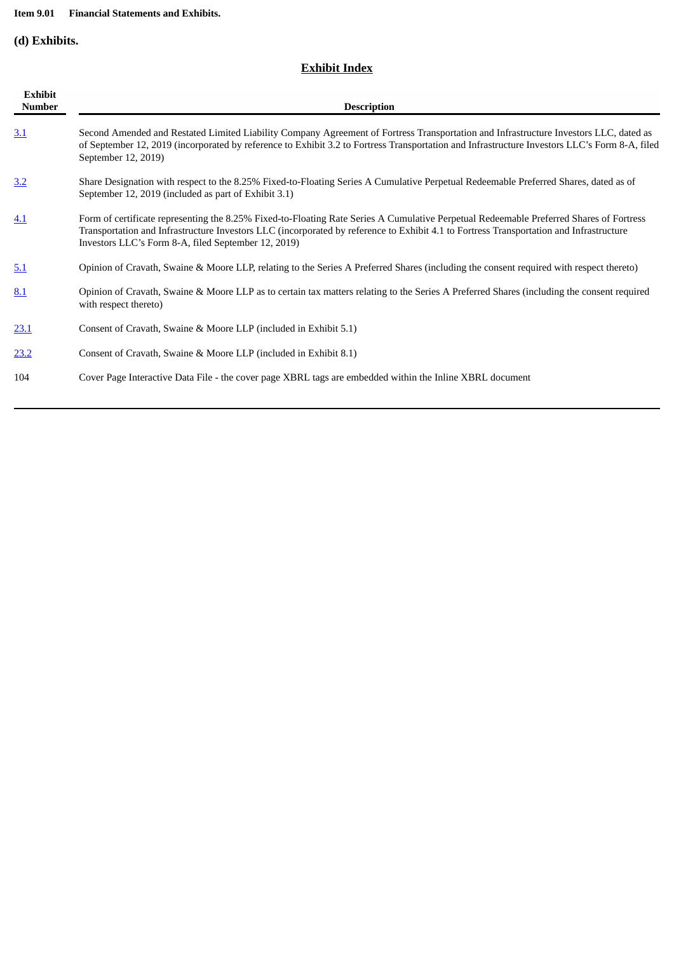### **Item 9.01 Financial Statements and Exhibits.**

**(d) Exhibits.**

### **Exhibit Index**

| <b>Exhibit</b><br><b>Number</b> | <b>Description</b>                                                                                                                                                                                                                                                                                                                        |
|---------------------------------|-------------------------------------------------------------------------------------------------------------------------------------------------------------------------------------------------------------------------------------------------------------------------------------------------------------------------------------------|
| 3.1                             | Second Amended and Restated Limited Liability Company Agreement of Fortress Transportation and Infrastructure Investors LLC, dated as<br>of September 12, 2019 (incorporated by reference to Exhibit 3.2 to Fortress Transportation and Infrastructure Investors LLC's Form 8-A, filed<br>September 12, 2019)                             |
| 3.2                             | Share Designation with respect to the 8.25% Fixed-to-Floating Series A Cumulative Perpetual Redeemable Preferred Shares, dated as of<br>September 12, 2019 (included as part of Exhibit 3.1)                                                                                                                                              |
| 4.1                             | Form of certificate representing the 8.25% Fixed-to-Floating Rate Series A Cumulative Perpetual Redeemable Preferred Shares of Fortress<br>Transportation and Infrastructure Investors LLC (incorporated by reference to Exhibit 4.1 to Fortress Transportation and Infrastructure<br>Investors LLC's Form 8-A, filed September 12, 2019) |
| 5.1                             | Opinion of Cravath, Swaine & Moore LLP, relating to the Series A Preferred Shares (including the consent required with respect thereto)                                                                                                                                                                                                   |
| 8.1                             | Opinion of Cravath, Swaine & Moore LLP as to certain tax matters relating to the Series A Preferred Shares (including the consent required<br>with respect thereto)                                                                                                                                                                       |
| 23.1                            | Consent of Cravath, Swaine & Moore LLP (included in Exhibit 5.1)                                                                                                                                                                                                                                                                          |
| 23.2                            | Consent of Cravath, Swaine & Moore LLP (included in Exhibit 8.1)                                                                                                                                                                                                                                                                          |
| 104                             | Cover Page Interactive Data File - the cover page XBRL tags are embedded within the Inline XBRL document                                                                                                                                                                                                                                  |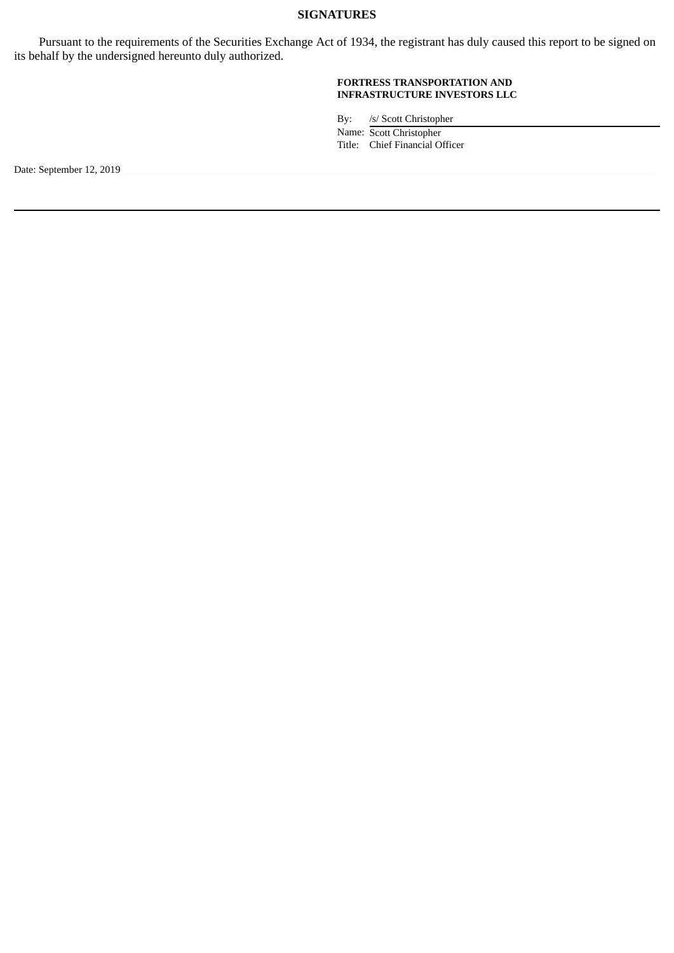### **SIGNATURES**

Pursuant to the requirements of the Securities Exchange Act of 1934, the registrant has duly caused this report to be signed on its behalf by the undersigned hereunto duly authorized.

#### **FORTRESS TRANSPORTATION AND INFRASTRUCTURE INVESTORS LLC**

By: /s/ Scott Christopher

Name: Scott Christopher Title: Chief Financial Officer

Date: September 12, 2019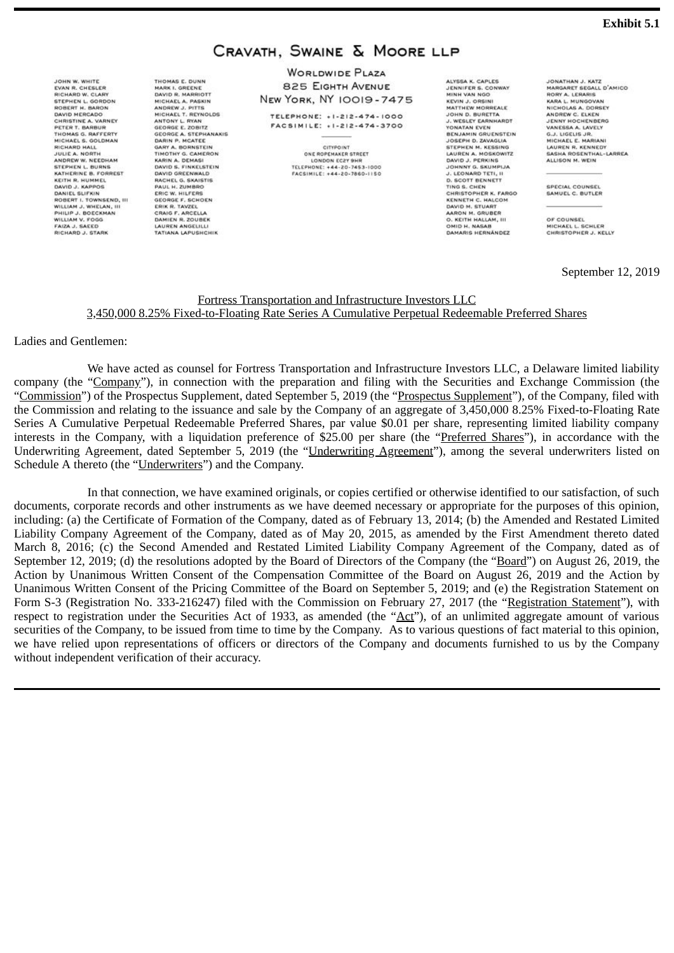### CRAVATH, SWAINE & MOORE LLP

**WORLDWIDE PLAZA** 825 EIGHTH AVENUE **NEW YORK, NY 10019-7475** 

**TELEPHONE: +1-212-474-1000** FACSIMILE: +1-212-474-3700

> CITYPOINT ONE ROPEMAKER STREET LONDON ECPY SHE TELEPHONE: +44-20-7453-1000<br>FACSIMILE: +44-20-7453-1000

ALYSSA K. CAPLES **IENNIEER 6. CONWAY** MINH VAN NGC MINH VAN NGO<br>KEVIN J. ORSINI<br>MATTHEW MORREALE<br>JOHN D. BURETTA<br>YONATAN EVEN<br>YONATAN EVEN<br>BENJAMIN GRUENSTEIN<br>JOSEPH D. ZAVAGUA<br>GTEPHEN M. KEGGING STEPHEN M. KESSING<br>LAUREN A. MOSKOWITZ DAVID J. PERKINS<br>JOHNNY G. SKUMPIJA L. LEONARD TETL U **J. LEONARD TETI, II**<br>D. SCOTT BENNETT<br>TING S. CHEN<br>CHRISTOPHER K. FARGO<br>KENNETH C. HALCOM<br>AKON M. STUART<br>O. KEITH HALLAM, III<br>OAMD H. NASAB<br>OMD H. NASAB<br>OMD H. NASAB<br>OMD H. NASAB<br>OMD H. NASAB DAMARIS HERNÁNDEZ

JONATHAN J. KATZ MARGARET SEGALL D'AMICO BORY A. LERARIS RORY A. LERARIS<br>KARA L. NUNGOVAN<br>NICHOLAS A. DORSEY<br>ANDREW C. ELKEN<br>JADREW A. LAVELY<br>VANESSA A. LAVELY<br>G.J. LIGELIS JR.<br>MICHAEL E. MARIANI<br>HAUREN B. KENNEDY LAUREN R. KENNEDY GASHA ROSENTHAL-LARREA ALLISON M. WEIN

SPECIAL COUNSEL SAMUEL C. BUTLER

OF COUNSEL MICHAEL L. SCHLER<br>CHRISTOPHER J. KELLY

September 12, 2019

#### Fortress Transportation and Infrastructure Investors LLC 3,450,000 8.25% Fixed-to-Floating Rate Series A Cumulative Perpetual Redeemable Preferred Shares

Ladies and Gentlemen:

We have acted as counsel for Fortress Transportation and Infrastructure Investors LLC, a Delaware limited liability company (the "Company"), in connection with the preparation and filing with the Securities and Exchange Commission (the "Commission") of the Prospectus Supplement, dated September 5, 2019 (the "Prospectus Supplement"), of the Company, filed with the Commission and relating to the issuance and sale by the Company of an aggregate of 3,450,000 8.25% Fixed-to-Floating Rate Series A Cumulative Perpetual Redeemable Preferred Shares, par value \$0.01 per share, representing limited liability company interests in the Company, with a liquidation preference of \$25.00 per share (the "Preferred Shares"), in accordance with the Underwriting Agreement, dated September 5, 2019 (the "Underwriting Agreement"), among the several underwriters listed on Schedule A thereto (the "Underwriters") and the Company.

In that connection, we have examined originals, or copies certified or otherwise identified to our satisfaction, of such documents, corporate records and other instruments as we have deemed necessary or appropriate for the purposes of this opinion, including: (a) the Certificate of Formation of the Company, dated as of February 13, 2014; (b) the Amended and Restated Limited Liability Company Agreement of the Company, dated as of May 20, 2015, as amended by the First Amendment thereto dated March 8, 2016; (c) the Second Amended and Restated Limited Liability Company Agreement of the Company, dated as of September 12, 2019; (d) the resolutions adopted by the Board of Directors of the Company (the "Board") on August 26, 2019, the Action by Unanimous Written Consent of the Compensation Committee of the Board on August 26, 2019 and the Action by Unanimous Written Consent of the Pricing Committee of the Board on September 5, 2019; and (e) the Registration Statement on Form S-3 (Registration No. 333-216247) filed with the Commission on February 27, 2017 (the "Registration Statement"), with respect to registration under the Securities Act of 1933, as amended (the "Act"), of an unlimited aggregate amount of various securities of the Company, to be issued from time to time by the Company. As to various questions of fact material to this opinion, we have relied upon representations of officers or directors of the Company and documents furnished to us by the Company without independent verification of their accuracy.

<span id="page-4-0"></span>JOHN W. WHITE EVAN R. CHESLER<br>RICHARD W. CLARY<br>STEPHEN L. GORDON<br>DAVID MERCADO<br>DAVID MERCADO<br>CHRISTINE A. VARNEY<br>THOMAS G. RAFEERTY<br>MICHAEL S. GOLDMAN<br>RICHAEL S. GOLDMAN<br>RICHAEL S. GOLDMAN RICHARD HALL JULIE A. NORTH ANDREW W. NEEDHAM STEPHEN L. BURNS<br>KATHERINE B. FORREST KATHERINE B. FORREST<br>KEITH R. HUMMEL<br>DAVID J. KAPPOS<br>ROBNIEL SLIFKIN<br>ROBSET I. TOWNSEND, III<br>NULLIAM J. WHELAM, III<br>PHILIP J. BOCCKMAN<br>WILLIAM V. FOGG<br>FICIZA J. SASED<br>RICIZA J. SASED<br>RICHARD J. STARK THOMAS E. DUNN

DAVID R. MARRIOTT

GARY A. BORNSTEIN

DAVID GREENWALD

TIMOTHY G. CAMERON

KARIN A. DEMASI<br>DAVID S. FINKELSTEIN

DAVID GREENWALD<br>RACHEL G. SKAISTIS<br>PAUL H. ZUMBRO<br>ERIC W. HILFERS<br>ERIC W. HILFERS<br>ERIK R. TAVZEL<br>CRAIG F. ARCELLA<br>DAMIEN ANGELILL<br>LAUREN ANGELILLI<br>TATIANA LAPUSHCHIL

DAVID R. MARRIOTT<br>MICHAEL A. PASKIN<br>ANDREW J. PITTS<br>MICHAEL T. REYNOLDS<br>ANTONY L. RYAN<br>GEORGE & STEPHANAKIS<br>DARIY P. MCATEE<br>DARIY A. ROBNSTEIN<br>GARY A. ROBNSTEIN

MADK L. GREENE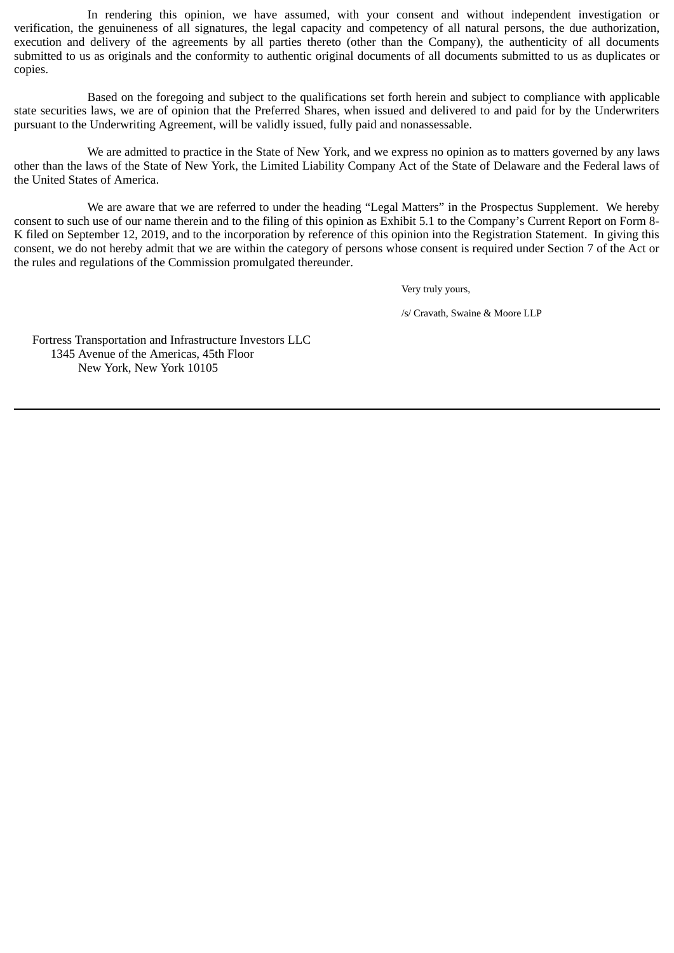In rendering this opinion, we have assumed, with your consent and without independent investigation or verification, the genuineness of all signatures, the legal capacity and competency of all natural persons, the due authorization, execution and delivery of the agreements by all parties thereto (other than the Company), the authenticity of all documents submitted to us as originals and the conformity to authentic original documents of all documents submitted to us as duplicates or copies.

Based on the foregoing and subject to the qualifications set forth herein and subject to compliance with applicable state securities laws, we are of opinion that the Preferred Shares, when issued and delivered to and paid for by the Underwriters pursuant to the Underwriting Agreement, will be validly issued, fully paid and nonassessable.

We are admitted to practice in the State of New York, and we express no opinion as to matters governed by any laws other than the laws of the State of New York, the Limited Liability Company Act of the State of Delaware and the Federal laws of the United States of America.

We are aware that we are referred to under the heading "Legal Matters" in the Prospectus Supplement. We hereby consent to such use of our name therein and to the filing of this opinion as Exhibit 5.1 to the Company's Current Report on Form 8- K filed on September 12, 2019, and to the incorporation by reference of this opinion into the Registration Statement. In giving this consent, we do not hereby admit that we are within the category of persons whose consent is required under Section 7 of the Act or the rules and regulations of the Commission promulgated thereunder.

Very truly yours,

/s/ Cravath, Swaine & Moore LLP

Fortress Transportation and Infrastructure Investors LLC 1345 Avenue of the Americas, 45th Floor New York, New York 10105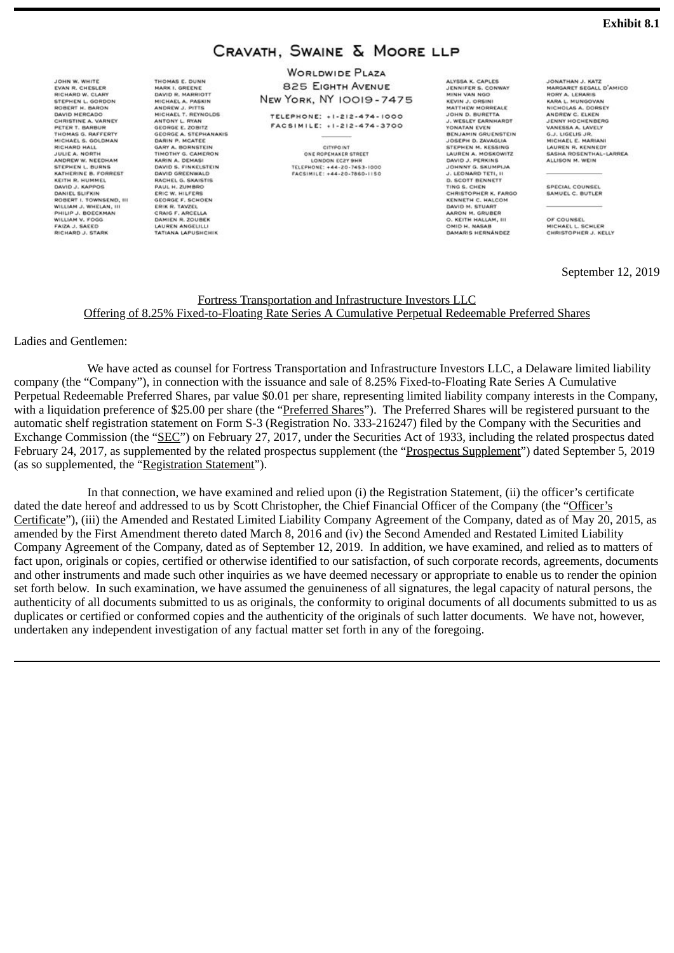### CRAVATH, SWAINE & MOORE LLP

**WORLDWIDE PLAZA** 825 EIGHTH AVENUE **NEW YORK, NY 10019-7475** 

**TELEPHONE: +1-212-474-1000** FACSIMILE: +1-212-474-3700

> CITYPOINT ONE ROPEMAKER STREET LONDON ECPY SHE TELEPHONE: +44-20-7453-1000<br>FACSIMILE: +44-20-7453-1000

ALYSSA K. CAPLES **IENNIEER 6. CONWAY** MINH VAN NGC MINH VAN NGO<br>KEVIN J. ORSINI<br>MATTHEW MORREALE<br>JOHN D. BURETTA<br>YONATAN EVEN<br>YONATAN EVEN<br>BENJAMIN GRUENSTEIN<br>JOSEPH D. ZAVAGUA<br>GTEPHEN M. KEGGING STEPHEN M. KESSING<br>LAUREN A. MOSKOWITZ DAVID J. PERKINS<br>JOHNNY G. SKUMPIJA L. LEONARD TETL U **J. LEONARD TETI, II**<br>D. SCOTT BENNETT<br>TING S. CHEN<br>CHRISTOPHER K. FARGO<br>KENNETH C. HALCOM<br>AKON M. STUART<br>O. KEITH HALLAM, III<br>OAMD H. NASAB<br>OMD H. NASAB<br>OMD H. NASAB<br>OMD H. NASAB<br>OMD H. NASAB DAMARIS HERNÁNDEZ

JONATHAN J. KATZ MARGARET SEGALL D'AMICO BORY A. LERARIS RORY A. LERARIS<br>KARA L. MUNGOVAN<br>NICHOLAS A. DORSEY<br>ANDREW C. ELKEN<br>JADREW A. LAVELY<br>VANESSA A. LAVELY<br>G.J. LIGELIS JR.<br>MICHAEL E. MARIANI<br>HAUREN B. KENNEDY LAUREN R. KENNEDY GASHA ROSENTHAL-LARREA ALLISON M. WEIN

SPECIAL COUNSEL SAMUEL C. BUTLER

OF COUNSEL MICHAEL L. SCHLER<br>CHRISTOPHER J. KELLY

September 12, 2019

### Fortress Transportation and Infrastructure Investors LLC Offering of 8.25% Fixed-to-Floating Rate Series A Cumulative Perpetual Redeemable Preferred Shares

Ladies and Gentlemen:

We have acted as counsel for Fortress Transportation and Infrastructure Investors LLC, a Delaware limited liability company (the "Company"), in connection with the issuance and sale of 8.25% Fixed-to-Floating Rate Series A Cumulative Perpetual Redeemable Preferred Shares, par value \$0.01 per share, representing limited liability company interests in the Company, with a liquidation preference of \$25.00 per share (the "Preferred Shares"). The Preferred Shares will be registered pursuant to the automatic shelf registration statement on Form S-3 (Registration No. 333-216247) filed by the Company with the Securities and Exchange Commission (the "SEC") on February 27, 2017, under the Securities Act of 1933, including the related prospectus dated February 24, 2017, as supplemented by the related prospectus supplement (the "Prospectus Supplement") dated September 5, 2019 (as so supplemented, the "Registration Statement").

In that connection, we have examined and relied upon (i) the Registration Statement, (ii) the officer's certificate dated the date hereof and addressed to us by Scott Christopher, the Chief Financial Officer of the Company (the "Officer's Certificate"), (iii) the Amended and Restated Limited Liability Company Agreement of the Company, dated as of May 20, 2015, as amended by the First Amendment thereto dated March 8, 2016 and (iv) the Second Amended and Restated Limited Liability Company Agreement of the Company, dated as of September 12, 2019. In addition, we have examined, and relied as to matters of fact upon, originals or copies, certified or otherwise identified to our satisfaction, of such corporate records, agreements, documents and other instruments and made such other inquiries as we have deemed necessary or appropriate to enable us to render the opinion set forth below. In such examination, we have assumed the genuineness of all signatures, the legal capacity of natural persons, the authenticity of all documents submitted to us as originals, the conformity to original documents of all documents submitted to us as duplicates or certified or conformed copies and the authenticity of the originals of such latter documents. We have not, however, undertaken any independent investigation of any factual matter set forth in any of the foregoing.

<span id="page-6-0"></span>JOHN W. WHITE EVAN R. CHESLER<br>RICHARD W. CLARY<br>STEPHEN L. GORDON<br>ROBERT H. BARON<br>CHRISTINE A. VARNEY<br>PETER T. BARBUR<br>MICHAEL S. GOLDMAN<br>RICHAEL S. GOLDMAN<br>RICHAEL S. GOLDMAN<br>RICHAEL S. GOLDMAN<br>RICHAEL S. GOLDMAN JULIE A. NORTH ANDREW W. NEEDHAM STEPHEN L. BURNS<br>KATHERINE B. FORREST KATHERIKE B. FORREST<br>KEITH R. HUMMEL<br>DANID J. KAPPOS<br>ROBIEL SLIFRIN<br>ROBIEL SLIFRIN<br>ROBIEL T. TOWNSEND, III<br>PHILIP J. DOCCKMAN<br>WILLIAM V. FOGG<br>KICHAM V. FOGG<br>RICHAM V. TOGG<br>RICHAM V. TOGG THOMAS E. DUNN

DAVID R. MARRIOTT

GARY A. BORNSTEIN

DAVID GREENWALD

TIMOTHY G. CAMERON

KARIN A. DEMASI<br>DAVID S. FINKELSTEIN

DAVID GREENWALD<br>RACHEL G. SKAISTIS<br>PAUL H. ZUMBRO<br>ERIC W. HILFERS<br>ERIC W. HILFERS<br>ERIK R. TAVZEL<br>CRAIG F. ARCELLA<br>DAMIEN A ROUBEK<br>LAUREN ANGELLLI<br>TATIANA LAPUSHCHIL

DAVID R. MARRIOTT<br>MICHAEL A. PASKIN<br>ANDREW J. PITTS<br>MICHAEL T. REYNOLDS<br>ANTONY L. RYAN<br>GEORGE & STEPHANAKIS<br>DARIY P. MCATEE<br>DARIY A. ROBNSTEIN<br>GARY A. ROBNSTEIN

MADK L. GREENE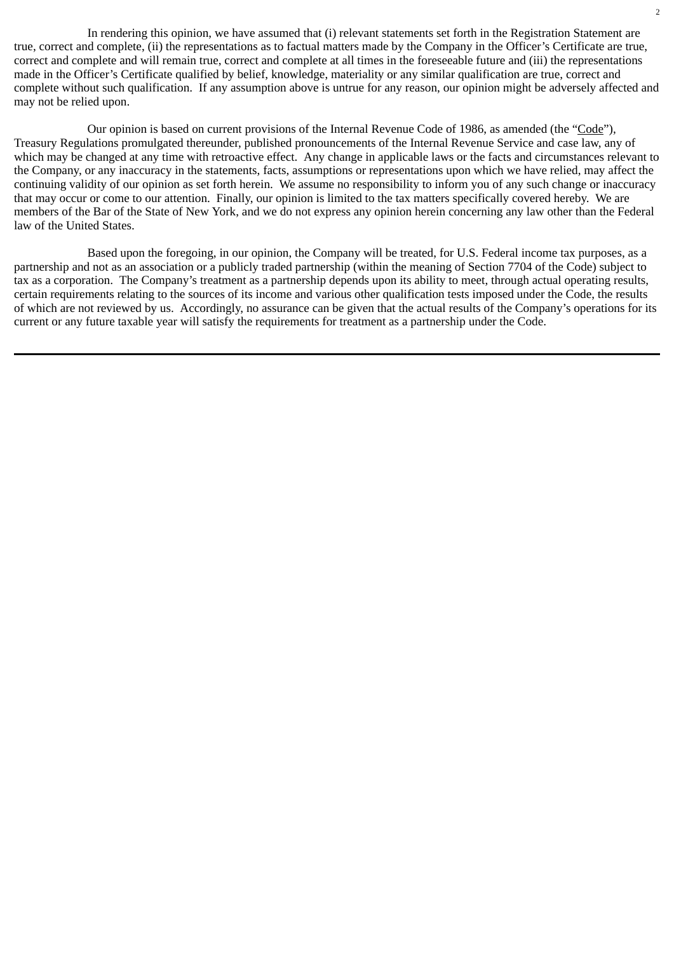In rendering this opinion, we have assumed that (i) relevant statements set forth in the Registration Statement are true, correct and complete, (ii) the representations as to factual matters made by the Company in the Officer's Certificate are true, correct and complete and will remain true, correct and complete at all times in the foreseeable future and (iii) the representations made in the Officer's Certificate qualified by belief, knowledge, materiality or any similar qualification are true, correct and complete without such qualification. If any assumption above is untrue for any reason, our opinion might be adversely affected and may not be relied upon.

Our opinion is based on current provisions of the Internal Revenue Code of 1986, as amended (the "Code"), Treasury Regulations promulgated thereunder, published pronouncements of the Internal Revenue Service and case law, any of which may be changed at any time with retroactive effect. Any change in applicable laws or the facts and circumstances relevant to the Company, or any inaccuracy in the statements, facts, assumptions or representations upon which we have relied, may affect the continuing validity of our opinion as set forth herein. We assume no responsibility to inform you of any such change or inaccuracy that may occur or come to our attention. Finally, our opinion is limited to the tax matters specifically covered hereby. We are members of the Bar of the State of New York, and we do not express any opinion herein concerning any law other than the Federal law of the United States.

Based upon the foregoing, in our opinion, the Company will be treated, for U.S. Federal income tax purposes, as a partnership and not as an association or a publicly traded partnership (within the meaning of Section 7704 of the Code) subject to tax as a corporation. The Company's treatment as a partnership depends upon its ability to meet, through actual operating results, certain requirements relating to the sources of its income and various other qualification tests imposed under the Code, the results of which are not reviewed by us. Accordingly, no assurance can be given that the actual results of the Company's operations for its current or any future taxable year will satisfy the requirements for treatment as a partnership under the Code.